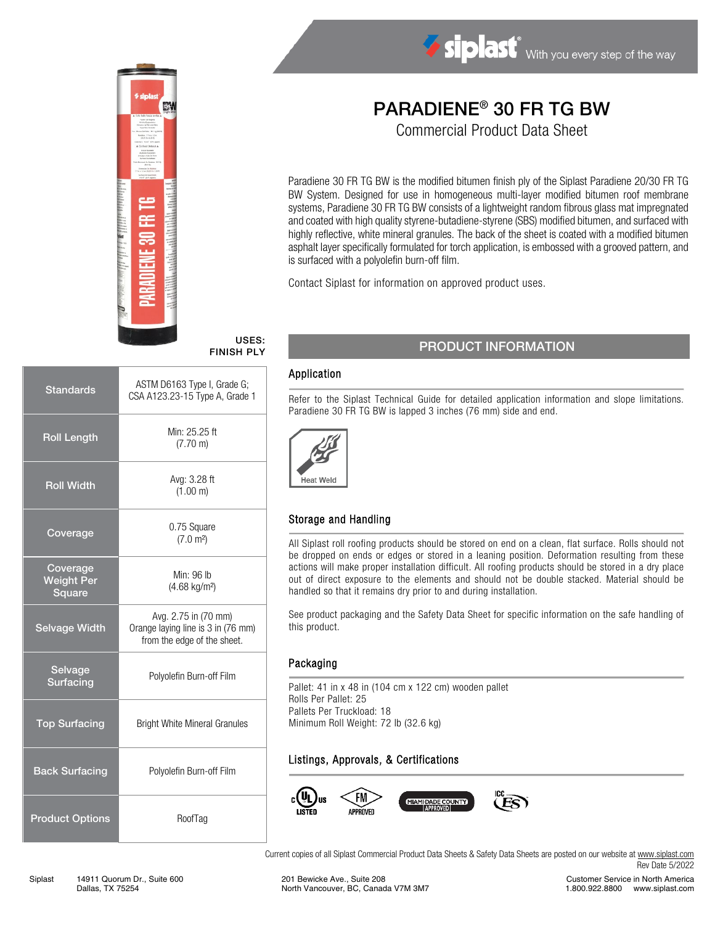

#### USES: FINISH PLY

| <b>Standards</b>                        | ASTM D6163 Type I, Grade G;<br>CSA A123.23-15 Type A, Grade 1                             |  |  |
|-----------------------------------------|-------------------------------------------------------------------------------------------|--|--|
| <b>Roll Length</b>                      | Min: 25.25 ft<br>$(7.70 \text{ m})$                                                       |  |  |
| <b>Roll Width</b>                       | Avg: 3.28 ft<br>(1.00 m)                                                                  |  |  |
| Coverage                                | 0.75 Square<br>(7.0 m <sup>2</sup> )                                                      |  |  |
| Coverage<br><b>Weight Per</b><br>Square | Min: 96 lb<br>$(4.68 \text{ kg/m}^2)$                                                     |  |  |
| <b>Selvage Width</b>                    | Avg. 2.75 in (70 mm)<br>Orange laying line is 3 in (76 mm)<br>from the edge of the sheet. |  |  |
| Selvage<br><b>Surfacing</b>             | Polyolefin Burn-off Film                                                                  |  |  |
| <b>Top Surfacing</b>                    | <b>Bright White Mineral Granules</b>                                                      |  |  |
| <b>Back Surfacing</b>                   | Polyolefin Burn-off Film                                                                  |  |  |
| <b>Product Options</b>                  | RoofTag                                                                                   |  |  |

# PARADIENE® 30 FR TG BW

Siplast With you every step of the way

Commercial Product Data Sheet

Paradiene 30 FR TG BW is the modified bitumen finish ply of the Siplast Paradiene 20/30 FR TG BW System. Designed for use in homogeneous multi-layer modified bitumen roof membrane systems, Paradiene 30 FR TG BW consists of a lightweight random fibrous glass mat impregnated and coated with high quality styrene-butadiene-styrene (SBS) modified bitumen, and surfaced with highly reflective, white mineral granules. The back of the sheet is coated with a modified bitumen asphalt layer specifically formulated for torch application, is embossed with a grooved pattern, and is surfaced with a polyolefin burn-off film.

Contact Siplast for information on approved product uses.

## PRODUCT INFORMATION

### Application

Refer to the Siplast Technical Guide for detailed application information and slope limitations. Paradiene 30 FR TG BW is lapped 3 inches (76 mm) side and end.



## Storage and Handling

All Siplast roll roofing products should be stored on end on a clean, flat surface. Rolls should not be dropped on ends or edges or stored in a leaning position. Deformation resulting from these actions will make proper installation difficult. All roofing products should be stored in a dry place out of direct exposure to the elements and should not be double stacked. Material should be handled so that it remains dry prior to and during installation.

See product packaging and the Safety Data Sheet for specific information on the safe handling of this product.

#### **Packaging**

Pallet: 41 in x 48 in (104 cm x 122 cm) wooden pallet Rolls Per Pallet: 25 Pallets Per Truckload: 18 Minimum Roll Weight: 72 lb (32.6 kg)

## Listings, Approvals, & Certifications



Current copies of all Siplast Commercial Product Data Sheets & Safety Data Sheets are posted on our website a[t www.siplast.com](http://www.siplast.com/) Rev Date 5/2022